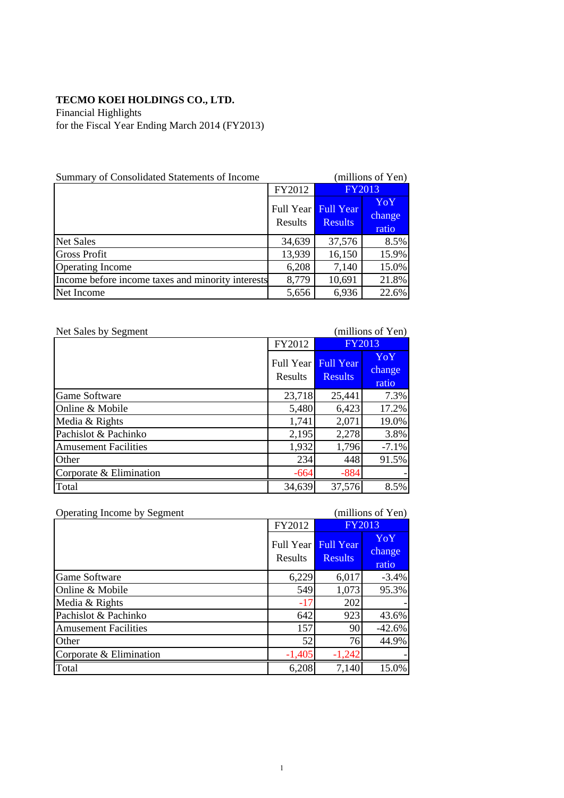## **TECMO KOEI HOLDINGS CO., LTD.**

Financial Highlights for the Fiscal Year Ending March 2014 (FY2013)

| Summary of Consolidated Statements of Income      |         |                                       | (millions of Yen)      |
|---------------------------------------------------|---------|---------------------------------------|------------------------|
|                                                   | FY2012  | <b>FY2013</b>                         |                        |
|                                                   | Results | Full Year Full Year<br><b>Results</b> | YoY<br>change<br>ratio |
| <b>Net Sales</b>                                  | 34,639  | 37,576                                | 8.5%                   |
| <b>Gross Profit</b>                               | 13,939  | 16,150                                | 15.9%                  |
| <b>Operating Income</b>                           | 6,208   | 7,140                                 | 15.0%                  |
| Income before income taxes and minority interests | 8,779   | 10,691                                | 21.8%                  |
| Net Income                                        | 5,656   | 6,936                                 | 22.6%                  |

| Net Sales by Segment        |                      |                                    | (millions of Yen)      |  |
|-----------------------------|----------------------|------------------------------------|------------------------|--|
|                             | FY2012               |                                    | <b>FY2013</b>          |  |
|                             | Full Year<br>Results | <b>Full Year</b><br><b>Results</b> | YoY<br>change<br>ratio |  |
| Game Software               | 23,718               | 25,441                             | 7.3%                   |  |
| Online & Mobile             | 5,480                | 6,423                              | 17.2%                  |  |
| Media & Rights              | 1,741                | 2,071                              | 19.0%                  |  |
| Pachislot & Pachinko        | 2,195                | 2,278                              | 3.8%                   |  |
| <b>Amusement Facilities</b> | 1,932                | 1,796                              | $-7.1%$                |  |
| Other                       | 234                  | 448                                | 91.5%                  |  |
| Corporate & Elimination     | $-664$               | $-884$                             |                        |  |
| Total                       | 34,639               | 37,576                             | 8.5%                   |  |

| <b>Operating Income by Segment</b> |                                    |                                    | (millions of Yen)      |
|------------------------------------|------------------------------------|------------------------------------|------------------------|
|                                    | FY2012                             | FY2013                             |                        |
|                                    | <b>Full Year</b><br><b>Results</b> | <b>Full Year</b><br><b>Results</b> | YoY<br>change<br>ratio |
| Game Software                      | 6,229                              | 6,017                              | $-3.4%$                |
| Online & Mobile                    | 549                                | 1,073                              | 95.3%                  |
| Media & Rights                     | $-17$                              | 202                                |                        |
| Pachislot & Pachinko               | 642                                | 923                                | 43.6%                  |
| <b>Amusement Facilities</b>        | 157                                | 90                                 | $-42.6%$               |
| Other                              | 52                                 | 76                                 | 44.9%                  |
| Corporate & Elimination            | $-1,405$                           | $-1,242$                           |                        |
| Total                              | 6,208                              | 7,140                              | 15.0%                  |